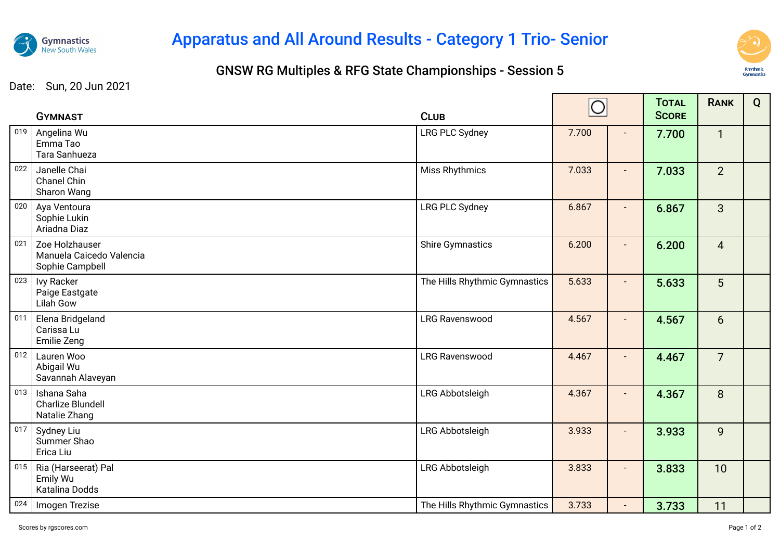

## Apparatus and All Around Results - Category 1 Trio- Senior

## GNSW RG Multiples & RFG State Championships - Session 5



Date: Sun, 20 Jun 2021

|     | <b>GYMNAST</b>                                                | <b>CLUB</b>                   | $\bigcirc$ |                | <b>TOTAL</b><br><b>SCORE</b> | <b>RANK</b>     | Q |
|-----|---------------------------------------------------------------|-------------------------------|------------|----------------|------------------------------|-----------------|---|
| 019 | Angelina Wu<br>Emma Tao<br>Tara Sanhueza                      | <b>LRG PLC Sydney</b>         | 7.700      | $\sim$         | 7.700                        | $\mathbf{1}$    |   |
| 022 | Janelle Chai<br>Chanel Chin<br>Sharon Wang                    | <b>Miss Rhythmics</b>         | 7.033      |                | 7.033                        | $\overline{2}$  |   |
| 020 | Aya Ventoura<br>Sophie Lukin<br>Ariadna Diaz                  | <b>LRG PLC Sydney</b>         | 6.867      | $\blacksquare$ | 6.867                        | $\overline{3}$  |   |
| 021 | Zoe Holzhauser<br>Manuela Caicedo Valencia<br>Sophie Campbell | <b>Shire Gymnastics</b>       | 6.200      | $\blacksquare$ | 6.200                        | $\overline{4}$  |   |
| 023 | <b>Ivy Racker</b><br>Paige Eastgate<br>Lilah Gow              | The Hills Rhythmic Gymnastics | 5.633      |                | 5.633                        | 5               |   |
| 011 | Elena Bridgeland<br>Carissa Lu<br>Emilie Zeng                 | <b>LRG Ravenswood</b>         | 4.567      | $\blacksquare$ | 4.567                        | $6\overline{6}$ |   |
| 012 | Lauren Woo<br>Abigail Wu<br>Savannah Alaveyan                 | LRG Ravenswood                | 4.467      | $\blacksquare$ | 4.467                        | $\overline{7}$  |   |
| 013 | Ishana Saha<br><b>Charlize Blundell</b><br>Natalie Zhang      | LRG Abbotsleigh               | 4.367      | $\blacksquare$ | 4.367                        | 8               |   |
| 017 | Sydney Liu<br>Summer Shao<br>Erica Liu                        | LRG Abbotsleigh               | 3.933      |                | 3.933                        | 9               |   |
| 015 | Ria (Harseerat) Pal<br>Emily Wu<br>Katalina Dodds             | LRG Abbotsleigh               | 3.833      | $\blacksquare$ | 3.833                        | 10              |   |
| 024 | Imogen Trezise                                                | The Hills Rhythmic Gymnastics | 3.733      | $\blacksquare$ | 3.733                        | 11              |   |